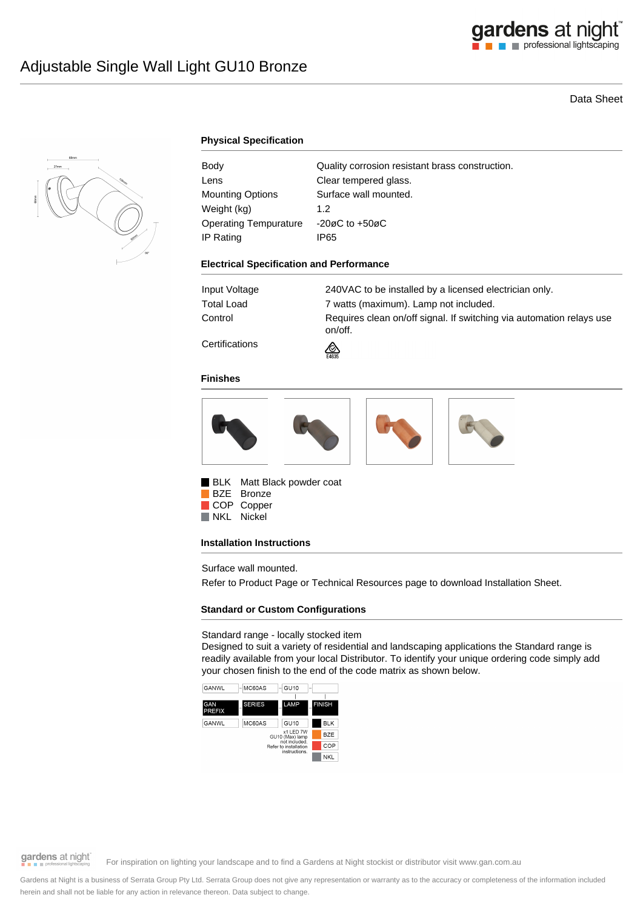

# Data Sheet



# **Physical Specification**

| Body                    | Quality corrosion resistant brass construction. |
|-------------------------|-------------------------------------------------|
| Lens                    | Clear tempered glass.                           |
| <b>Mounting Options</b> | Surface wall mounted.                           |
| Weight (kg)             | 1.2 <sub>2</sub>                                |
| Operating Tempurature   | -20øC to $+50$ øC                               |
| IP Rating               | IP65                                            |

#### **Electrical Specification and Performance**

| Input Voltage        | 240VAC to be installed by a licensed electrician only.                          |
|----------------------|---------------------------------------------------------------------------------|
| Total Load           | 7 watts (maximum). Lamp not included.                                           |
| Control              | Requires clean on/off signal. If switching via automation relays use<br>on/off. |
| $\sim$ $\sim$ $\sim$ |                                                                                 |

**Certifications** 



#### **Finishes**



BLK Matt Black powder coat BZE Bronze COP Copper

NKL Nickel

### **Installation Instructions**

Surface wall mounted.

Refer to Product Page or Technical Resources page to download Installation Sheet.

# **Standard or Custom Configurations**

### Standard range - locally stocked item

Designed to suit a variety of residential and landscaping applications the Standard range is readily available from your local Distributor. To identify your unique ordering code simply add your chosen finish to the end of the code matrix as shown below.



gardens at night

For inspiration on lighting your landscape and to find a Gardens at Night stockist or distributor visit www.gan.com.au

Gardens at Night is a business of Serrata Group Pty Ltd. Serrata Group does not give any representation or warranty as to the accuracy or completeness of the information included herein and shall not be liable for any action in relevance thereon. Data subject to change.